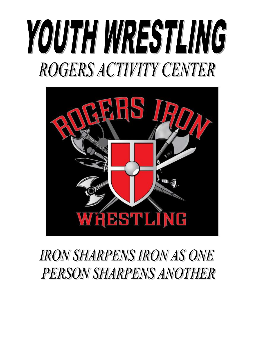# YOUTH WRESTLING **ROGERS ACTIVITY CENTER**



# **IRON SHARPENS IRON AS ONE PERSON SHARPENS ANOTHER**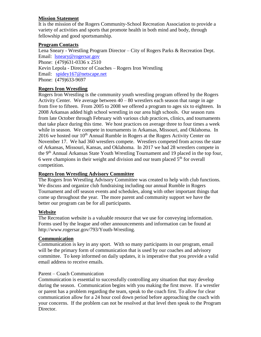#### **Mission Statement**

It is the mission of the Rogers Community-School Recreation Association to provide a variety of activities and sports that promote health in both mind and body, through fellowship and good sportsmanship.

# **Program Contacts**

Lena Sneary - Wrestling Program Director – City of Rogers Parks & Recreation Dept. Email: [lsneary@rogersar.gov](mailto:lsneary@rogersar.gov) Phone: (479)631-0336 x 2510 Kevin Lepola - Director of Coaches – Rogers Iron Wrestling Email: [spidey167@netscape.net](mailto:spidey167@netscape.net) Phone: (479)633-9697

## **Rogers Iron Wrestling**

Rogers Iron Wrestling is the community youth wrestling program offered by the Rogers Activity Center. We average between  $40 - 80$  wrestlers each season that range in age from five to fifteen. From 2005 to 2008 we offered a program to ages six to eighteen. In 2008 Arkansas added high school wrestling in our area high schools. Our season runs from late October through February with various club practices, clinics, and tournaments that take place during this time. We host practices on average three to four times a week while in season. We compete in tournaments in Arkansas, Missouri, and Oklahoma. In 2016 we hosted our  $10<sup>th</sup>$  Annual Rumble in Rogers at the Rogers Activity Center on November 17. We had 360 wrestlers compete. Wrestlers competed from across the state of Arkansas, Missouri, Kansas, and Oklahoma. In 2017 we had 28 wrestlers compete in the 9<sup>th</sup> Annual Arkansas State Youth Wrestling Tournament and 19 placed in the top four, 6 were champions in their weight and division and our team placed  $5<sup>th</sup>$  for overall competition.

# **Rogers Iron Wrestling Advisory Committee**

The Rogers Iron Wrestling Advisory Committee was created to help with club functions. We discuss and organize club fundraising including our annual Rumble in Rogers Tournament and off season events and schedules, along with other important things that come up throughout the year. The more parent and community support we have the better our program can be for all participants.

#### **Website**

The Recreation website is a valuable resource that we use for conveying information. Forms used by the league and other announcements and information can be found at http://www.rogersar.gov/793/Youth-Wrestling.

#### **Communication**

Communication is key in any sport. With so many participants in our program, email will be the primary form of communication that is used by our coaches and advisory committee. To keep informed on daily updates, it is imperative that you provide a valid email address to receive emails.

#### Parent – Coach Communication

Communication is essential to successfully controlling any situation that may develop during the season. Communication begins with you making the first move. If a wrestler or parent has a problem regarding the team, speak to the coach first. To allow for clear communication allow for a 24 hour cool down period before approaching the coach with your concerns. If the problem can not be resolved at that level then speak to the Program Director.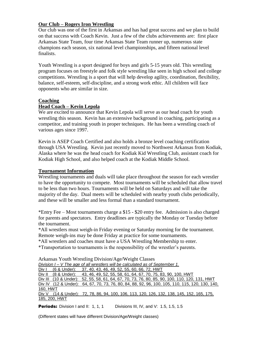#### **Our Club – Rogers Iron Wrestling**

Our club was one of the first in Arkansas and has had great success and we plan to build on that success with Coach Kevin. Just a few of the clubs achievements are: first place Arkansas State Team, four time Arkansas State Team runner up, numerous state champions each season, six national level championships, and fifteen national level finalists.

Youth Wrestling is a sport designed for boys and girls 5-15 years old. This wrestling program focuses on freestyle and folk style wrestling like seen in high school and college competitions. Wrestling is a sport that will help develop agility, coordination, flexibility, balance, self-esteem, self-discipline, and a strong work ethic. All children will face opponents who are similar in size.

#### **Coaching**

#### **Head Coach – Kevin Lepola**

We are excited to announce that Kevin Lepola will serve as our head coach for youth wrestling this season. Kevin has an extensive background in coaching, participating as a competitor, and training youth in proper techniques. He has been a wrestling coach of various ages since 1997.

Kevin is ASEP Coach Certified and also holds a bronze level coaching certification through USA Wrestling. Kevin just recently moved to Northwest Arkansas from Kodiak, Alaska where he was the head coach for Kodiak Kid Wrestling Club, assistant coach for Kodiak High School, and also helped coach at the Kodiak Middle School.

#### **Tournament Information**

Wrestling tournaments and duals will take place throughout the season for each wrestler to have the opportunity to compete. Most tournaments will be scheduled that allow travel to be less than two hours. Tournaments will be held on Saturdays and will take the majority of the day. Dual meets will be scheduled with nearby youth clubs periodically, and these will be smaller and less formal than a standard tournament.

\*Entry Fee – Most tournaments charge a \$15 - \$20 entry fee. Admission is also charged for parents and spectators. Entry deadlines are typically the Monday or Tuesday before the tournament.

\*All wrestlers must weigh-in Friday evening or Saturday morning for the tournament. Remote weigh-ins may be done Friday at practice for some tournaments.

\*All wrestlers and coaches must have a USA Wrestling Membership to enter.

\*Transportation to tournaments is the responsibility of the wrestler's parents.

|          |               | AIRAISAS TOUUT WIESUIIIG DIVISION/AGE/WEIGHT CLASSES                                            |  |
|----------|---------------|-------------------------------------------------------------------------------------------------|--|
|          |               | Division I – V The age of all wrestlers will be calculated as of September 1.                   |  |
|          |               | Div I (6 & Under): 37, 40, 43, 46, 49, 52, 55, 60, 66, 72, HWT                                  |  |
|          |               | Div II (8 & Under): 43, 46, 49, 52, 55, 58, 61, 64, 67, 70, 75, 83, 90, 100, HWT                |  |
|          |               | Div III (10 & Under): 52, 55, 58, 61, 64, 67, 70, 73, 76, 80, 85, 90, 100, 110, 120, 131, HWT   |  |
|          |               | Div IV (12 & Under): 64, 67, 70, 73, 76, 80, 84, 88, 92, 96, 100, 105, 110, 115, 120, 130, 140, |  |
| 160, HWT |               |                                                                                                 |  |
|          |               | Div V (14 & Under): 72, 78, 86, 94, 100, 106, 113, 120, 126, 132, 138, 145, 152, 165, 175,      |  |
|          | 185, 200, HWT |                                                                                                 |  |

Arkansas Youth Wrestling Division/Age/Weight Classes

**Periods:** Division I and II: 1, 1, 1 Divisions III, IV, and V: 1.5, 1.5, 1.5

(Different states will have different Division/Age/Weight classes)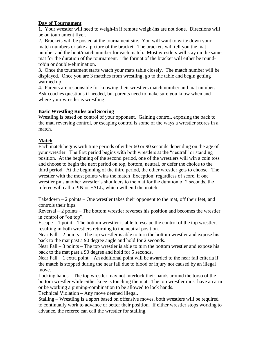#### **Day of Tournament**

1. Your wrestler will need to weigh-in if remote weigh-ins are not done. Directions will be on tournament flyer.

2. Brackets will be posted at the tournament site. You will want to write down your match numbers or take a picture of the bracket. The brackets will tell you the mat number and the bout/match number for each match. Most wrestlers will stay on the same mat for the duration of the tournament. The format of the bracket will either be roundrobin or double-elimination.

3. Once the tournament starts watch your mats table closely. The match number will be displayed. Once you are 3 matches from wrestling, go to the table and begin getting warmed up.

4. Parents are responsible for knowing their wrestlers match number and mat number. Ask coaches questions if needed, but parents need to make sure you know when and where your wrestler is wrestling.

#### **Basic Wrestling Rules and Scoring**

Wrestling is based on control of your opponent. Gaining control, exposing the back to the mat, reversing control, or escaping control is some of the ways a wrestler scores in a match.

#### **Match**

Each match begins with time periods of either 60 or 90 seconds depending on the age of your wrestler. The first period begins with both wrestlers at the "neutral" or standing position. At the beginning of the second period, one of the wrestlers will win a coin toss and choose to begin the next period on top, bottom, neutral, or defer the choice to the third period. At the beginning of the third period, the other wrestler gets to choose. The wrestler with the most points wins the match Exception: regardless of score, if one wrestler pins another wrestler's shoulders to the mat for the duration of 2 seconds, the referee will call a PIN or FALL, which will end the match.

Takedown  $-2$  points  $-$  One wrestler takes their opponent to the mat, off their feet, and controls their hips.

Reversal – 2 points – The bottom wrestler reverses his position and becomes the wrestler in control or "on top".

Escape  $-1$  point  $-$  The bottom wrestler is able to escape the control of the top wrestler, resulting in both wrestlers returning to the neutral position.

Near Fall – 2 points – The top wrestler is able to turn the bottom wrestler and expose his back to the mat past a 90 degree angle and hold for 2 seconds.

Near Fall – 3 points – The top wrestler is able to turn the bottom wrestler and expose his back to the mat past a 90 degree and hold for 5 seconds.

Near Fall  $-1$  extra point  $-$  An additional point will be awarded to the near fall criteria if the match is stopped during the near fall due to blood or injury not caused by an illegal move.

Locking hands – The top wrestler may not interlock their hands around the torso of the bottom wrestler while either knee is touching the mat. The top wrestler must have an arm or be working a pinning-combination to be allowed to lock hands.

Technical Violation – Any move deemed illegal.

Stalling – Wrestling is a sport based on offensive moves, both wrestlers will be required to continually work to advance or better their position. If either wrestler stops working to advance, the referee can call the wrestler for stalling.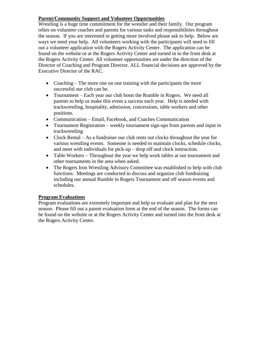# **Parent/Community Support and Volunteer Opportunities**

Wrestling is a huge time commitment for the wrestler and their family. Our program relies on volunteer coaches and parents for various tasks and responsibilities throughout the season. If you are interested in getting more involved please ask to help. Below are ways we need your help. All volunteers working with the participants will need to fill out a volunteer application with the Rogers Activity Center. The application can be found on the website or at the Rogers Activity Center and turned in to the front desk at the Rogers Activity Center. All volunteer opportunities are under the direction of the Director of Coaching and Program Director. ALL financial decisions are approved by the Executive Director of the RAC.

- Coaching The more one on one training with the participants the more successful our club can be.
- Tournament Each year our club hosts the Rumble in Rogers. We need all parents to help us make this event a success each year. Help is needed with trackwrestling, hospitality, admission, concessions, table workers and other positions.
- Communication Email, Facebook, and Coaches Communication
- Tournament Registration weekly tournament sign-ups from parents and input in trackwrestling
- Clock Rental As a fundraiser our club rents out clocks throughout the year for various wrestling events. Someone is needed to maintain clocks, schedule clocks, and meet with individuals for pick-up – drop off and clock instruction.
- Table Workers Throughout the year we help work tables at our tournament and other tournaments in the area when asked.
- The Rogers Iron Wrestling Advisory Committee was established to help with club functions. Meetings are conducted to discuss and organize club fundraising including our annual Rumble in Rogers Tournament and off season events and schedules.

#### **Program Evaluations**

Program evaluations are extremely important and help us evaluate and plan for the next season. Please fill out a parent evaluation form at the end of the season. The forms can be found on the website or at the Rogers Activity Center and turned into the front desk at the Rogers Activity Center.